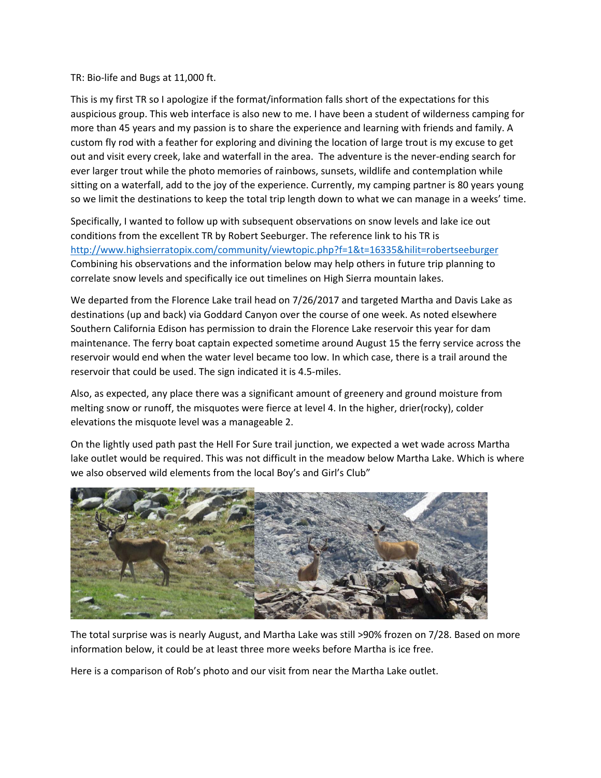TR: Bio‐life and Bugs at 11,000 ft.

This is my first TR so I apologize if the format/information falls short of the expectations for this auspicious group. This web interface is also new to me. I have been a student of wilderness camping for more than 45 years and my passion is to share the experience and learning with friends and family. A custom fly rod with a feather for exploring and divining the location of large trout is my excuse to get out and visit every creek, lake and waterfall in the area. The adventure is the never-ending search for ever larger trout while the photo memories of rainbows, sunsets, wildlife and contemplation while sitting on a waterfall, add to the joy of the experience. Currently, my camping partner is 80 years young so we limit the destinations to keep the total trip length down to what we can manage in a weeks' time.

Specifically, I wanted to follow up with subsequent observations on snow levels and lake ice out conditions from the excellent TR by Robert Seeburger. The reference link to his TR is http://www.highsierratopix.com/community/viewtopic.php?f=1&t=16335&hilit=robertseeburger Combining his observations and the information below may help others in future trip planning to correlate snow levels and specifically ice out timelines on High Sierra mountain lakes.

We departed from the Florence Lake trail head on 7/26/2017 and targeted Martha and Davis Lake as destinations (up and back) via Goddard Canyon over the course of one week. As noted elsewhere Southern California Edison has permission to drain the Florence Lake reservoir this year for dam maintenance. The ferry boat captain expected sometime around August 15 the ferry service across the reservoir would end when the water level became too low. In which case, there is a trail around the reservoir that could be used. The sign indicated it is 4.5‐miles.

Also, as expected, any place there was a significant amount of greenery and ground moisture from melting snow or runoff, the misquotes were fierce at level 4. In the higher, drier(rocky), colder elevations the misquote level was a manageable 2.

On the lightly used path past the Hell For Sure trail junction, we expected a wet wade across Martha lake outlet would be required. This was not difficult in the meadow below Martha Lake. Which is where we also observed wild elements from the local Boy's and Girl's Club"



The total surprise was is nearly August, and Martha Lake was still >90% frozen on 7/28. Based on more information below, it could be at least three more weeks before Martha is ice free.

Here is a comparison of Rob's photo and our visit from near the Martha Lake outlet.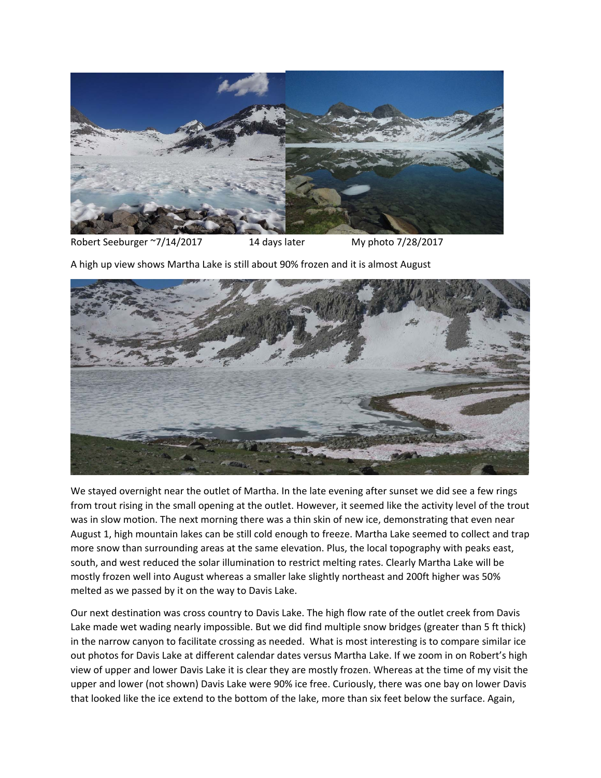

Robert Seeburger ~7/14/2017 14 days later My photo 7/28/2017

A high up view shows Martha Lake is still about 90% frozen and it is almost August



We stayed overnight near the outlet of Martha. In the late evening after sunset we did see a few rings from trout rising in the small opening at the outlet. However, it seemed like the activity level of the trout was in slow motion. The next morning there was a thin skin of new ice, demonstrating that even near August 1, high mountain lakes can be still cold enough to freeze. Martha Lake seemed to collect and trap more snow than surrounding areas at the same elevation. Plus, the local topography with peaks east, south, and west reduced the solar illumination to restrict melting rates. Clearly Martha Lake will be mostly frozen well into August whereas a smaller lake slightly northeast and 200ft higher was 50% melted as we passed by it on the way to Davis Lake.

Our next destination was cross country to Davis Lake. The high flow rate of the outlet creek from Davis Lake made wet wading nearly impossible. But we did find multiple snow bridges (greater than 5 ft thick) in the narrow canyon to facilitate crossing as needed. What is most interesting is to compare similar ice out photos for Davis Lake at different calendar dates versus Martha Lake. If we zoom in on Robert's high view of upper and lower Davis Lake it is clear they are mostly frozen. Whereas at the time of my visit the upper and lower (not shown) Davis Lake were 90% ice free. Curiously, there was one bay on lower Davis that looked like the ice extend to the bottom of the lake, more than six feet below the surface. Again,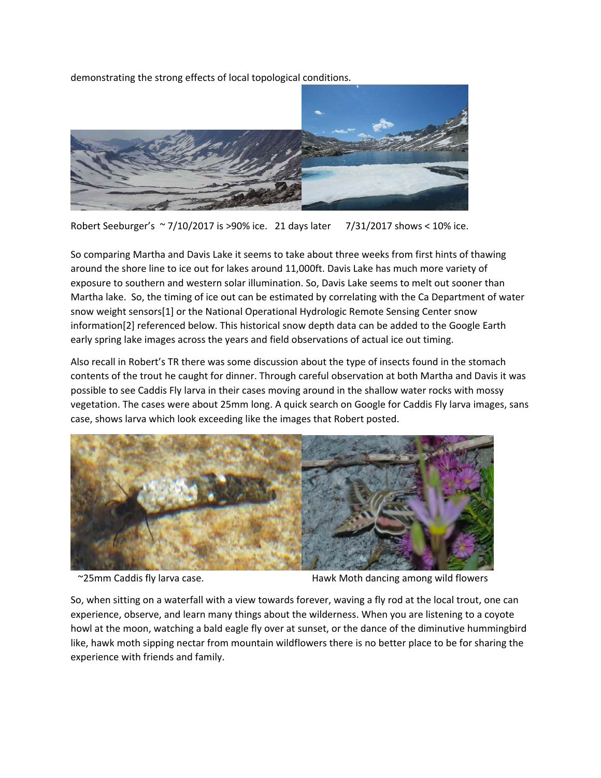

demonstrating the strong effects of local topological conditions.

Robert Seeburger's ~ 7/10/2017 is >90% ice. 21 days later 7/31/2017 shows < 10% ice.

So comparing Martha and Davis Lake it seems to take about three weeks from first hints of thawing around the shore line to ice out for lakes around 11,000ft. Davis Lake has much more variety of exposure to southern and western solar illumination. So, Davis Lake seems to melt out sooner than Martha lake. So, the timing of ice out can be estimated by correlating with the Ca Department of water snow weight sensors[1] or the National Operational Hydrologic Remote Sensing Center snow information[2] referenced below. This historical snow depth data can be added to the Google Earth early spring lake images across the years and field observations of actual ice out timing.

Also recall in Robert's TR there was some discussion about the type of insects found in the stomach contents of the trout he caught for dinner. Through careful observation at both Martha and Davis it was possible to see Caddis Fly larva in their cases moving around in the shallow water rocks with mossy vegetation. The cases were about 25mm long. A quick search on Google for Caddis Fly larva images, sans case, shows larva which look exceeding like the images that Robert posted.



~25mm Caddis fly larva case. Hawk Moth dancing among wild flowers

So, when sitting on a waterfall with a view towards forever, waving a fly rod at the local trout, one can experience, observe, and learn many things about the wilderness. When you are listening to a coyote howl at the moon, watching a bald eagle fly over at sunset, or the dance of the diminutive hummingbird like, hawk moth sipping nectar from mountain wildflowers there is no better place to be for sharing the experience with friends and family.